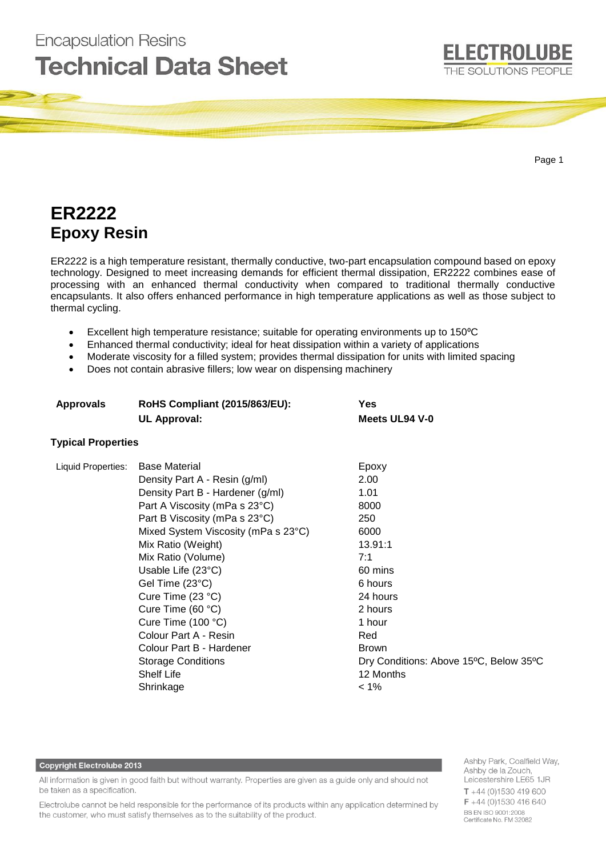

Page 1

# **ER2222 Epoxy Resin**

**Encapsulation Resins** 

ER2222 is a high temperature resistant, thermally conductive, two-part encapsulation compound based on epoxy technology. Designed to meet increasing demands for efficient thermal dissipation, ER2222 combines ease of processing with an enhanced thermal conductivity when compared to traditional thermally conductive encapsulants. It also offers enhanced performance in high temperature applications as well as those subject to thermal cycling.

- Excellent high temperature resistance; suitable for operating environments up to 150°C
- Enhanced thermal conductivity; ideal for heat dissipation within a variety of applications
- Moderate viscosity for a filled system; provides thermal dissipation for units with limited spacing
- Does not contain abrasive fillers; low wear on dispensing machinery

| <b>Approvals</b>          | <b>RoHS Compliant (2015/863/EU):</b><br><b>UL Approval:</b> | <b>Yes</b>                             |  |
|---------------------------|-------------------------------------------------------------|----------------------------------------|--|
|                           |                                                             | Meets UL94 V-0                         |  |
| <b>Typical Properties</b> |                                                             |                                        |  |
| Liquid Properties:        | <b>Base Material</b>                                        | Epoxy                                  |  |
|                           | Density Part A - Resin (g/ml)                               | 2.00                                   |  |
|                           | Density Part B - Hardener (g/ml)                            | 1.01                                   |  |
|                           | Part A Viscosity (mPa s 23°C)                               | 8000                                   |  |
|                           | Part B Viscosity (mPa s 23°C)                               | 250                                    |  |
|                           | Mixed System Viscosity (mPa s 23°C)                         | 6000                                   |  |
|                           | Mix Ratio (Weight)                                          | 13.91:1                                |  |
|                           | Mix Ratio (Volume)                                          | 7:1                                    |  |
|                           | Usable Life $(23^{\circ}C)$                                 | 60 mins                                |  |
|                           | Gel Time (23°C)                                             | 6 hours                                |  |
|                           | Cure Time (23 °C)                                           | 24 hours                               |  |
|                           | Cure Time (60 °C)                                           | 2 hours                                |  |
|                           | Cure Time $(100 °C)$                                        | 1 hour                                 |  |
|                           | Colour Part A - Resin                                       | Red                                    |  |
|                           | Colour Part B - Hardener                                    | <b>Brown</b>                           |  |
|                           | <b>Storage Conditions</b>                                   | Dry Conditions: Above 15°C, Below 35°C |  |
|                           | <b>Shelf Life</b>                                           | 12 Months                              |  |
|                           | Shrinkage                                                   | $< 1\%$                                |  |
|                           |                                                             |                                        |  |

#### **Copyright Electrolube 2013**

All information is given in good faith but without warranty. Properties are given as a guide only and should not be taken as a specification.

Electrolube cannot be held responsible for the performance of its products within any application determined by the customer, who must satisfy themselves as to the suitability of the product.

Ashby Park, Coalfield Way, Ashby de la Zouch, Leicestershire LE65 1JR  $T + 44$  (0)1530 419 600  $F + 44(0)1530416640$ BS EN ISO 9001:2008 Certificate No. FM 32082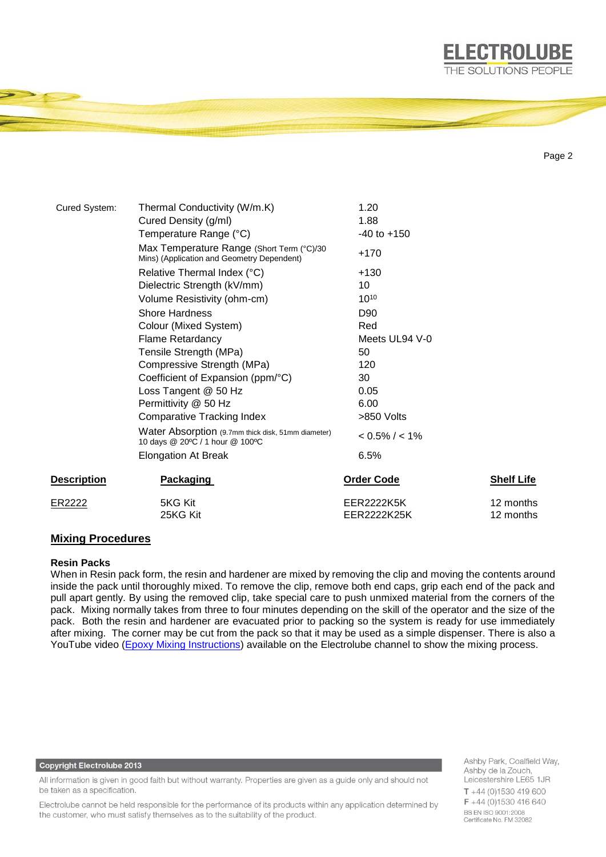

```
Page 2
```

| Cured System:      | Thermal Conductivity (W/m.K)                                                            | 1.20                      |                        |
|--------------------|-----------------------------------------------------------------------------------------|---------------------------|------------------------|
|                    | Cured Density (g/ml)                                                                    | 1.88                      |                        |
|                    | Temperature Range (°C)                                                                  | $-40$ to $+150$           |                        |
|                    | Max Temperature Range (Short Term (°C)/30<br>Mins) (Application and Geometry Dependent) | $+170$                    |                        |
|                    | Relative Thermal Index (°C)                                                             | $+130$                    |                        |
|                    | Dielectric Strength (kV/mm)                                                             | 10                        |                        |
|                    | Volume Resistivity (ohm-cm)                                                             | $10^{10}$                 |                        |
|                    | <b>Shore Hardness</b>                                                                   | D <sub>90</sub>           |                        |
|                    | Colour (Mixed System)                                                                   | Red                       |                        |
|                    | <b>Flame Retardancy</b>                                                                 | Meets UL94 V-0            |                        |
|                    | Tensile Strength (MPa)                                                                  | 50                        |                        |
|                    | Compressive Strength (MPa)                                                              | 120                       |                        |
|                    | Coefficient of Expansion (ppm/°C)                                                       | 30                        |                        |
|                    | Loss Tangent @ 50 Hz                                                                    | 0.05                      |                        |
|                    | Permittivity @ 50 Hz                                                                    | 6.00                      |                        |
|                    | <b>Comparative Tracking Index</b>                                                       | >850 Volts                |                        |
|                    | Water Absorption (9.7mm thick disk, 51mm diameter)<br>10 days @ 20°C / 1 hour @ 100°C   | $< 0.5\% / < 1\%$         |                        |
|                    | <b>Elongation At Break</b>                                                              | 6.5%                      |                        |
| <b>Description</b> | <b>Packaging</b>                                                                        | <b>Order Code</b>         | <b>Shelf Life</b>      |
| ER2222             | 5KG Kit<br>25KG Kit                                                                     | EER2222K5K<br>EER2222K25K | 12 months<br>12 months |

## **Mixing Procedures**

## **Resin Packs**

When in Resin pack form, the resin and hardener are mixed by removing the clip and moving the contents around inside the pack until thoroughly mixed. To remove the clip, remove both end caps, grip each end of the pack and pull apart gently. By using the removed clip, take special care to push unmixed material from the corners of the pack. Mixing normally takes from three to four minutes depending on the skill of the operator and the size of the pack. Both the resin and hardener are evacuated prior to packing so the system is ready for use immediately after mixing. The corner may be cut from the pack so that it may be used as a simple dispenser. There is also a YouTube video [\(Epoxy Mixing Instructions\)](https://www.youtube.com/watch?v=EEoWffhmjQw) available on the Electrolube channel to show the mixing process.

#### **Copyright Electrolube 2013**

All information is given in good faith but without warranty. Properties are given as a guide only and should not be taken as a specification.

Electrolube cannot be held responsible for the performance of its products within any application determined by the customer, who must satisfy themselves as to the suitability of the product.

Ashby Park, Coalfield Way, Ashby de la Zouch, Leicestershire LE65 1JR  $T + 44$  (0)1530 419 600 F +44 (0)1530 416 640 BS EN ISO 9001:2008 Certificate No. FM 32082